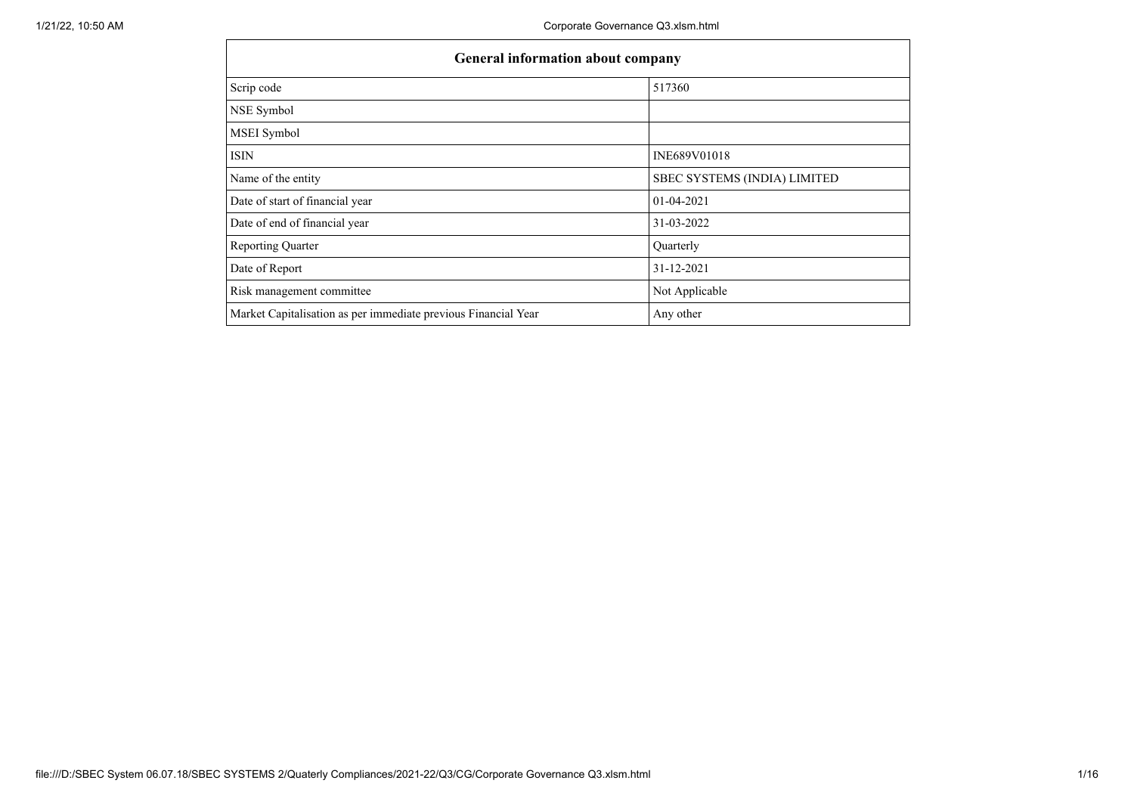| <b>General information about company</b>                       |                              |  |  |  |  |  |  |
|----------------------------------------------------------------|------------------------------|--|--|--|--|--|--|
| Scrip code                                                     | 517360                       |  |  |  |  |  |  |
| NSE Symbol                                                     |                              |  |  |  |  |  |  |
| MSEI Symbol                                                    |                              |  |  |  |  |  |  |
| <b>ISIN</b>                                                    | INE689V01018                 |  |  |  |  |  |  |
| Name of the entity                                             | SBEC SYSTEMS (INDIA) LIMITED |  |  |  |  |  |  |
| Date of start of financial year                                | 01-04-2021                   |  |  |  |  |  |  |
| Date of end of financial year                                  | 31-03-2022                   |  |  |  |  |  |  |
| <b>Reporting Quarter</b>                                       | Quarterly                    |  |  |  |  |  |  |
| Date of Report                                                 | 31-12-2021                   |  |  |  |  |  |  |
| Risk management committee                                      | Not Applicable               |  |  |  |  |  |  |
| Market Capitalisation as per immediate previous Financial Year | Any other                    |  |  |  |  |  |  |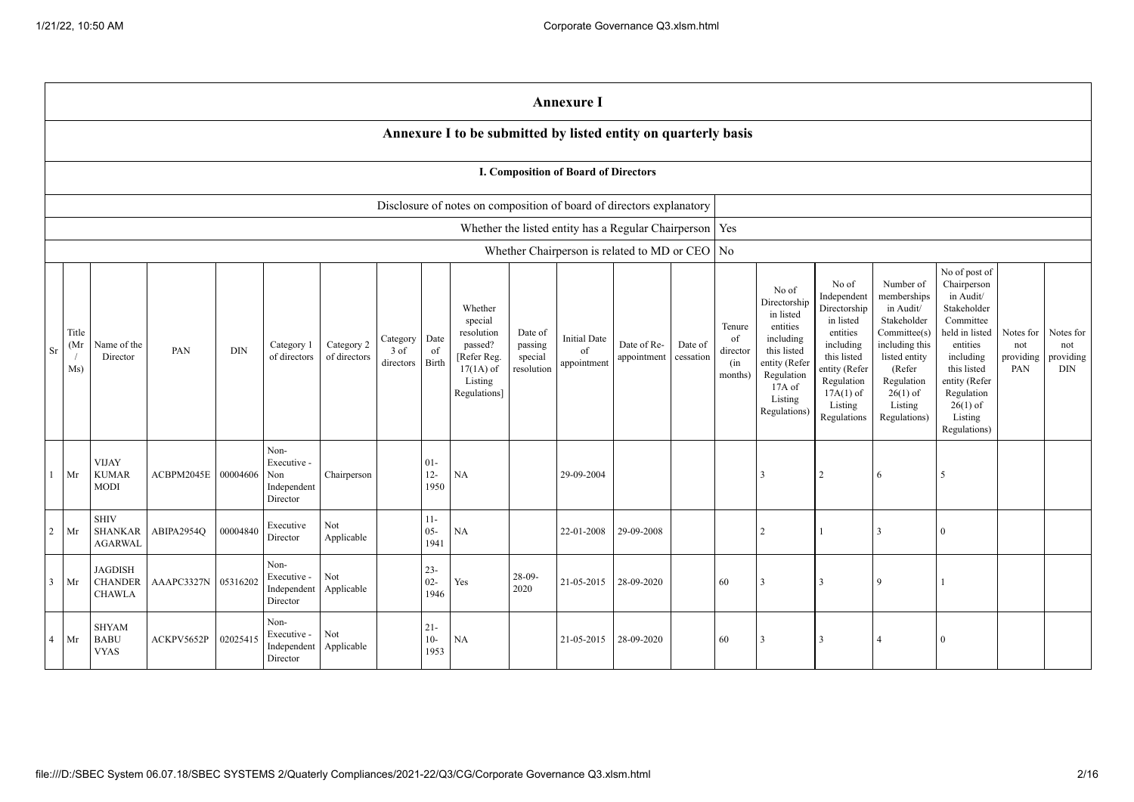|                | <b>Annexure I</b>                                                                                                                                                                                                                                                                                                                                                                                                                                |                                                   |                     |          |                                                       |                                                                                                                                                |                                                                                                                                                                   |                                                                                                                                                                          |                                                                                                                                                                                                         |                                      |                                      |                                                           |  |    |                |               |   |          |  |  |
|----------------|--------------------------------------------------------------------------------------------------------------------------------------------------------------------------------------------------------------------------------------------------------------------------------------------------------------------------------------------------------------------------------------------------------------------------------------------------|---------------------------------------------------|---------------------|----------|-------------------------------------------------------|------------------------------------------------------------------------------------------------------------------------------------------------|-------------------------------------------------------------------------------------------------------------------------------------------------------------------|--------------------------------------------------------------------------------------------------------------------------------------------------------------------------|---------------------------------------------------------------------------------------------------------------------------------------------------------------------------------------------------------|--------------------------------------|--------------------------------------|-----------------------------------------------------------|--|----|----------------|---------------|---|----------|--|--|
|                | Annexure I to be submitted by listed entity on quarterly basis                                                                                                                                                                                                                                                                                                                                                                                   |                                                   |                     |          |                                                       |                                                                                                                                                |                                                                                                                                                                   |                                                                                                                                                                          |                                                                                                                                                                                                         |                                      |                                      |                                                           |  |    |                |               |   |          |  |  |
|                | I. Composition of Board of Directors                                                                                                                                                                                                                                                                                                                                                                                                             |                                                   |                     |          |                                                       |                                                                                                                                                |                                                                                                                                                                   |                                                                                                                                                                          |                                                                                                                                                                                                         |                                      |                                      |                                                           |  |    |                |               |   |          |  |  |
|                | Disclosure of notes on composition of board of directors explanatory                                                                                                                                                                                                                                                                                                                                                                             |                                                   |                     |          |                                                       |                                                                                                                                                |                                                                                                                                                                   |                                                                                                                                                                          |                                                                                                                                                                                                         |                                      |                                      |                                                           |  |    |                |               |   |          |  |  |
|                |                                                                                                                                                                                                                                                                                                                                                                                                                                                  |                                                   |                     |          |                                                       |                                                                                                                                                |                                                                                                                                                                   |                                                                                                                                                                          |                                                                                                                                                                                                         |                                      |                                      | Whether the listed entity has a Regular Chairperson   Yes |  |    |                |               |   |          |  |  |
|                |                                                                                                                                                                                                                                                                                                                                                                                                                                                  |                                                   |                     |          |                                                       |                                                                                                                                                |                                                                                                                                                                   |                                                                                                                                                                          |                                                                                                                                                                                                         |                                      |                                      | Whether Chairperson is related to MD or CEO   No          |  |    |                |               |   |          |  |  |
| Sr             | Whether<br>special<br>Title<br>resolution<br>Date of<br>Date<br><b>Initial Date</b><br>Category<br>(Mr<br>Date of Re-<br>Name of the<br>Category 2<br>passed?<br>Date of<br>Category 1<br>passing<br>PAN<br><b>DIN</b><br>of<br>of<br>3 of<br>of directors<br>of directors<br>[Refer Reg.<br>cessation<br>Director<br>special<br>appointment<br>Birth<br>directors<br>appointment<br>Ms)<br>$17(1A)$ of<br>resolution<br>Listing<br>Regulations] |                                                   |                     |          | Tenure<br>of<br>director<br>(in<br>months)            | No of<br>Directorship<br>in listed<br>entities<br>including<br>this listed<br>entity (Refer<br>Regulation<br>17A of<br>Listing<br>Regulations) | No of<br>Independent<br>Directorship<br>in listed<br>entities<br>including<br>this listed<br>entity (Refer<br>Regulation<br>$17A(1)$ of<br>Listing<br>Regulations | Number of<br>memberships<br>in Audit/<br>Stakeholder<br>Committee(s)<br>including this<br>listed entity<br>(Refer<br>Regulation<br>$26(1)$ of<br>Listing<br>Regulations) | No of post of<br>Chairperson<br>in Audit/<br>Stakeholder<br>Committee<br>held in listed<br>entities<br>including<br>this listed<br>entity (Refer<br>Regulation<br>$26(1)$ of<br>Listing<br>Regulations) | Notes for<br>not<br>providing<br>PAN | Notes for<br>not<br>providing<br>DIN |                                                           |  |    |                |               |   |          |  |  |
|                | $1$ Mr                                                                                                                                                                                                                                                                                                                                                                                                                                           | <b>VIJAY</b><br><b>KUMAR</b><br><b>MODI</b>       | ACBPM2045E 00004606 |          | Non-<br>Executive -<br>Non<br>Independent<br>Director | Chairperson                                                                                                                                    |                                                                                                                                                                   | $01 -$<br>$12-$<br>1950                                                                                                                                                  | NA                                                                                                                                                                                                      |                                      | 29-09-2004                           |                                                           |  |    |                | 2             | 6 | 5        |  |  |
| 2              | Mr                                                                                                                                                                                                                                                                                                                                                                                                                                               | <b>SHIV</b><br><b>SHANKAR</b><br><b>AGARWAL</b>   | ABIPA2954Q          | 00004840 | Executive<br>Director                                 | Not<br>Applicable                                                                                                                              |                                                                                                                                                                   | $11-$<br>$05 -$<br>1941                                                                                                                                                  | NA                                                                                                                                                                                                      |                                      | 22-01-2008                           | 29-09-2008                                                |  |    | $\overline{2}$ |               | 3 | $\Omega$ |  |  |
|                | $3$ Mr                                                                                                                                                                                                                                                                                                                                                                                                                                           | <b>JAGDISH</b><br><b>CHANDER</b><br><b>CHAWLA</b> | AAAPC3327N          | 05316202 | Non-<br>Executive -<br>Independent<br>Director        | Not<br>Applicable                                                                                                                              |                                                                                                                                                                   | $23 -$<br>$02 -$<br>1946                                                                                                                                                 | Yes                                                                                                                                                                                                     | 28-09-<br>2020                       | 21-05-2015                           | 28-09-2020                                                |  | 60 | 3              | $\mathcal{R}$ | 9 |          |  |  |
| $\overline{4}$ | Mr                                                                                                                                                                                                                                                                                                                                                                                                                                               | <b>SHYAM</b><br><b>BABU</b><br><b>VYAS</b>        | ACKPV5652P          | 02025415 | Non-<br>Executive -<br>Independent<br>Director        | Not<br>Applicable                                                                                                                              |                                                                                                                                                                   | $21 -$<br>$10-$<br>1953                                                                                                                                                  | $_{\rm NA}$                                                                                                                                                                                             |                                      | 21-05-2015                           | 28-09-2020                                                |  | 60 | $\mathcal{R}$  |               |   | $\Omega$ |  |  |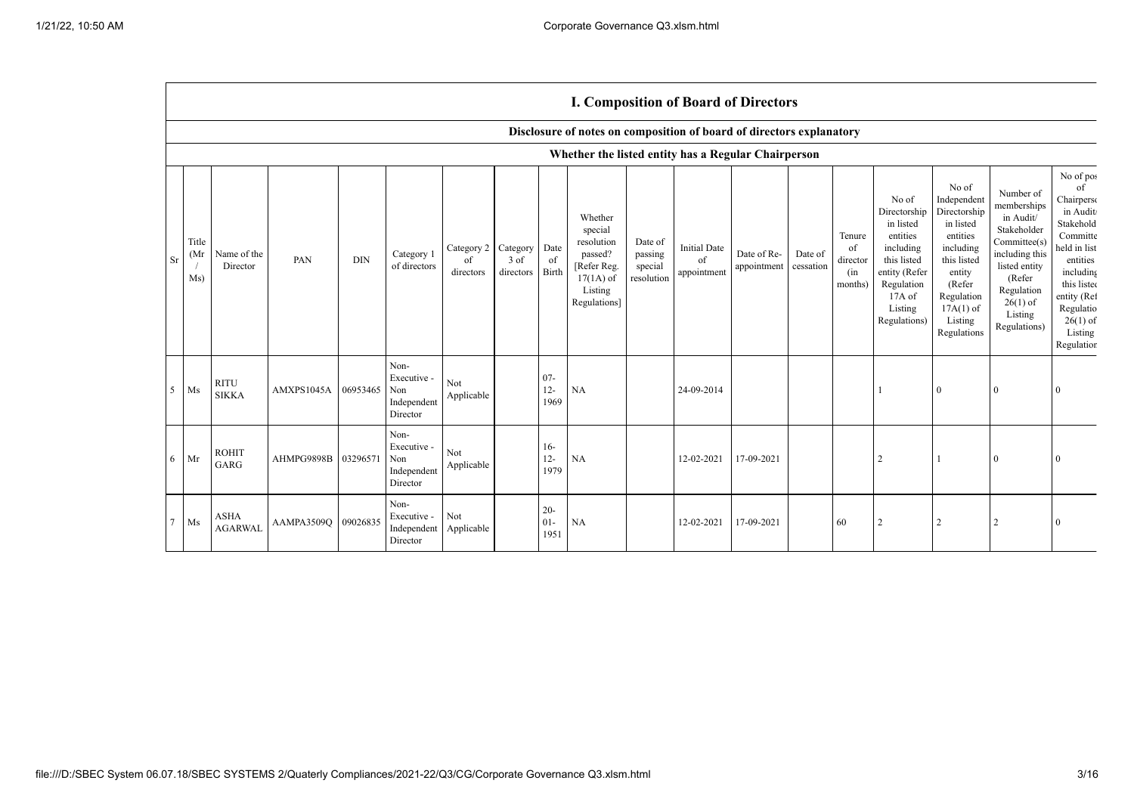|                |                     |                               |                     |            |                                                       |                                        |                   |                         |                                                                                                      |                                             |                                          | <b>1. Composition of Doard of Directors</b> |                      |                                            |                                                                                                                                                  |                                                                                                                                                                      |                                                                                                                                                                          |                                                                                                                                                                                               |
|----------------|---------------------|-------------------------------|---------------------|------------|-------------------------------------------------------|----------------------------------------|-------------------|-------------------------|------------------------------------------------------------------------------------------------------|---------------------------------------------|------------------------------------------|---------------------------------------------|----------------------|--------------------------------------------|--------------------------------------------------------------------------------------------------------------------------------------------------|----------------------------------------------------------------------------------------------------------------------------------------------------------------------|--------------------------------------------------------------------------------------------------------------------------------------------------------------------------|-----------------------------------------------------------------------------------------------------------------------------------------------------------------------------------------------|
|                |                     |                               |                     |            |                                                       |                                        |                   |                         | Disclosure of notes on composition of board of directors explanatory                                 |                                             |                                          |                                             |                      |                                            |                                                                                                                                                  |                                                                                                                                                                      |                                                                                                                                                                          |                                                                                                                                                                                               |
|                |                     |                               |                     |            |                                                       |                                        |                   |                         | Whether the listed entity has a Regular Chairperson                                                  |                                             |                                          |                                             |                      |                                            |                                                                                                                                                  |                                                                                                                                                                      |                                                                                                                                                                          |                                                                                                                                                                                               |
| Sr             | Title<br>(Mr<br>Ms) | Name of the<br>Director       | PAN                 | <b>DIN</b> | Category 1<br>of directors                            | Category 2 Category<br>of<br>directors | 3 of<br>directors | Date<br>of<br>Birth     | Whether<br>special<br>resolution<br>passed?<br>[Refer Reg.<br>$17(1A)$ of<br>Listing<br>Regulations] | Date of<br>passing<br>special<br>resolution | <b>Initial Date</b><br>of<br>appointment | Date of Re-<br>appointment                  | Date of<br>cessation | Tenure<br>of<br>director<br>(in<br>months) | No of<br>Directorship<br>in listed<br>entities<br>including<br>this listed<br>entity (Refer<br>Regulation<br>$17A$ of<br>Listing<br>Regulations) | No of<br>Independent<br>Directorship<br>in listed<br>entities<br>including<br>this listed<br>entity<br>(Refer<br>Regulation<br>$17A(1)$ of<br>Listing<br>Regulations | Number of<br>memberships<br>in Audit/<br>Stakeholder<br>Committee(s)<br>including this<br>listed entity<br>(Refer<br>Regulation<br>$26(1)$ of<br>Listing<br>Regulations) | No of pos<br>of<br>Chairperso<br>in Audit<br>Stakehold<br>Committe<br>held in list<br>entities<br>including<br>this listed<br>entity (Ref<br>Regulatio<br>$26(1)$ of<br>Listing<br>Regulation |
| 5 <sup>5</sup> | Ms                  | <b>RITU</b><br><b>SIKKA</b>   | AMXPS1045A          | 06953465   | Non-<br>Executive -<br>Non<br>Independent<br>Director | Not<br>${\large \bf Applicable}$       |                   | $07 -$<br>$12-$<br>1969 | NA                                                                                                   |                                             | 24-09-2014                               |                                             |                      |                                            |                                                                                                                                                  | $\mathbf{0}$                                                                                                                                                         | $\Omega$                                                                                                                                                                 | $\Omega$                                                                                                                                                                                      |
| $16 -$         | Mr                  | <b>ROHIT</b><br>GARG          | AHMPG9898B 03296571 |            | Non-<br>Executive -<br>Non<br>Independent<br>Director | <b>Not</b><br>Applicable               |                   | $16-$<br>$12 -$<br>1979 | NA                                                                                                   |                                             | 12-02-2021                               | 17-09-2021                                  |                      |                                            | 2                                                                                                                                                |                                                                                                                                                                      | $\Omega$                                                                                                                                                                 |                                                                                                                                                                                               |
| $\overline{7}$ | $\rm Ms$            | <b>ASHA</b><br><b>AGARWAL</b> | AAMPA3509O          | 09026835   | Non-<br>Executive -<br>Independent<br>Director        | Not<br>Applicable                      |                   | $20 -$<br>$01-$<br>1951 | NA                                                                                                   |                                             | 12-02-2021                               | 17-09-2021                                  |                      | 60                                         | $\overline{2}$                                                                                                                                   | $\overline{2}$                                                                                                                                                       |                                                                                                                                                                          | $\Omega$                                                                                                                                                                                      |

## **I. Composition of Board of Directors**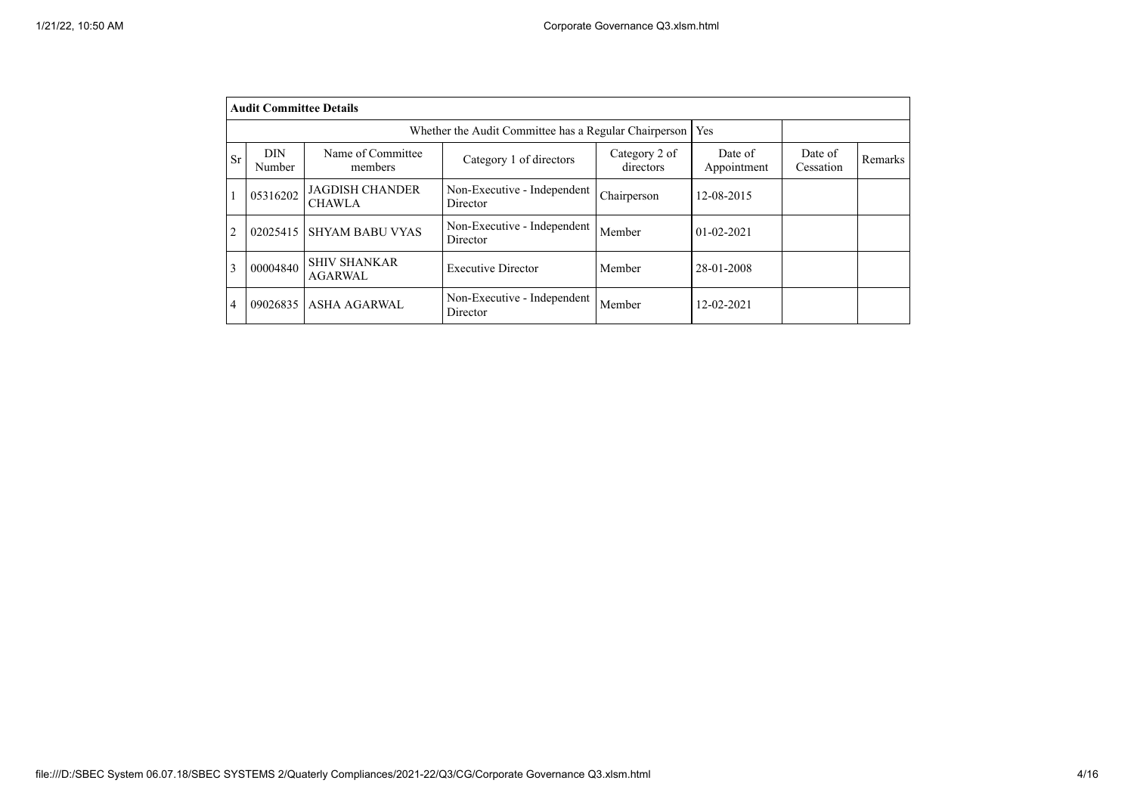|                | <b>Audit Committee Details</b> |                                                       |                                         |                            |                        |                      |         |  |  |  |
|----------------|--------------------------------|-------------------------------------------------------|-----------------------------------------|----------------------------|------------------------|----------------------|---------|--|--|--|
|                |                                | Whether the Audit Committee has a Regular Chairperson | Yes                                     |                            |                        |                      |         |  |  |  |
| <b>Sr</b>      | DIN<br>Number                  | Name of Committee<br>members                          | Category 1 of directors                 | Category 2 of<br>directors | Date of<br>Appointment | Date of<br>Cessation | Remarks |  |  |  |
|                | 05316202                       | <b>JAGDISH CHANDER</b><br><b>CHAWLA</b>               | Non-Executive - Independent<br>Director | Chairperson                | 12-08-2015             |                      |         |  |  |  |
| $\overline{2}$ | 02025415                       | <b>SHYAM BABU VYAS</b>                                | Non-Executive - Independent<br>Director | Member                     | $01 - 02 - 2021$       |                      |         |  |  |  |
| 3              | 00004840                       | <b>SHIV SHANKAR</b><br>AGARWAL                        | <b>Executive Director</b>               | Member                     | 28-01-2008             |                      |         |  |  |  |
| 4              | 09026835                       | <b>ASHA AGARWAL</b>                                   | Non-Executive - Independent<br>Director | Member                     | 12-02-2021             |                      |         |  |  |  |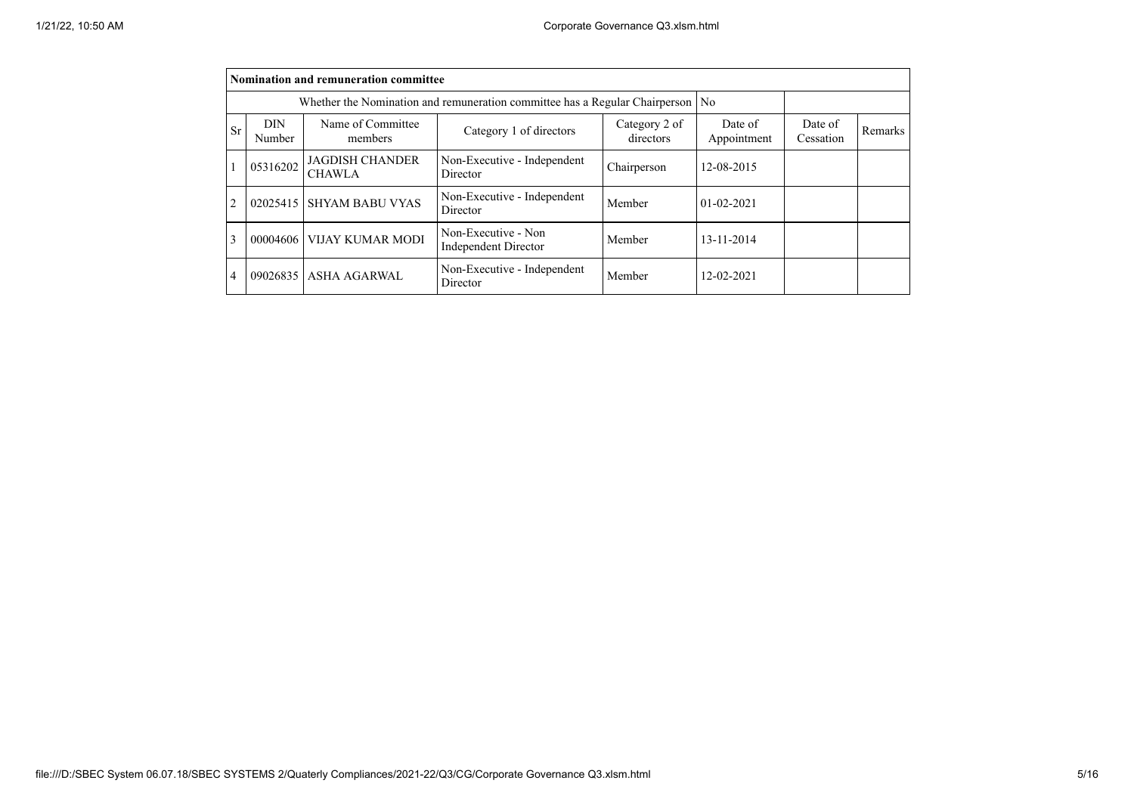|                | Nomination and remuneration committee |                                                                                |                                                    |                            |                        |                      |         |  |  |  |
|----------------|---------------------------------------|--------------------------------------------------------------------------------|----------------------------------------------------|----------------------------|------------------------|----------------------|---------|--|--|--|
|                |                                       | Whether the Nomination and remuneration committee has a Regular Chairperson No |                                                    |                            |                        |                      |         |  |  |  |
| Sr             | <b>DIN</b><br>Number                  | Name of Committee<br>members                                                   | Category 1 of directors                            | Category 2 of<br>directors | Date of<br>Appointment | Date of<br>Cessation | Remarks |  |  |  |
|                | 05316202                              | <b>JAGDISH CHANDER</b><br><b>CHAWLA</b>                                        | Non-Executive - Independent<br>Director            | Chairperson                | 12-08-2015             |                      |         |  |  |  |
| $\overline{2}$ | 02025415                              | <b>SHYAM BABU VYAS</b>                                                         | Non-Executive - Independent<br>Director            | Member                     | $01 - 02 - 2021$       |                      |         |  |  |  |
| 3              | 00004606                              | <b>VIJAY KUMAR MODI</b>                                                        | Non-Executive - Non<br><b>Independent Director</b> | Member                     | 13-11-2014             |                      |         |  |  |  |
| 4              |                                       | 09026835 ASHA AGARWAL                                                          | Non-Executive - Independent<br>Director            | Member                     | 12-02-2021             |                      |         |  |  |  |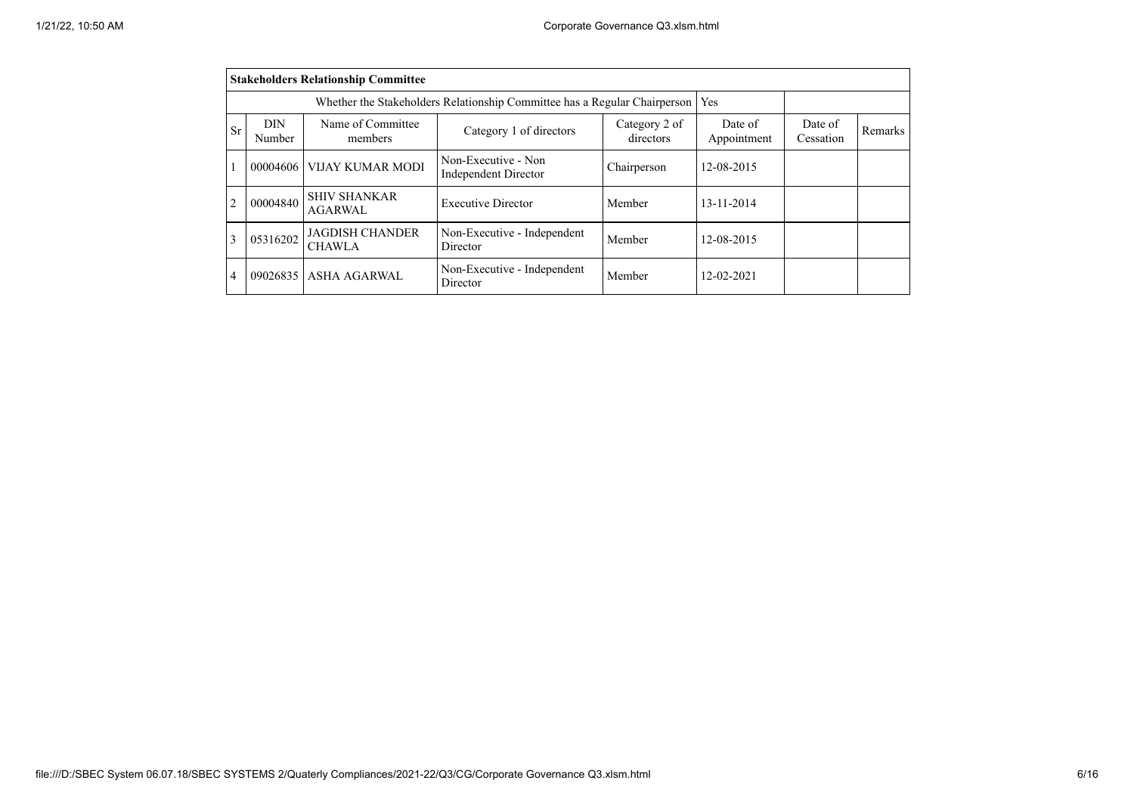|           | <b>Stakeholders Relationship Committee</b> |                                                                           |                                                    |                            |                        |                      |         |  |  |  |
|-----------|--------------------------------------------|---------------------------------------------------------------------------|----------------------------------------------------|----------------------------|------------------------|----------------------|---------|--|--|--|
|           |                                            | Whether the Stakeholders Relationship Committee has a Regular Chairperson |                                                    | Yes                        |                        |                      |         |  |  |  |
| <b>Sr</b> | <b>DIN</b><br>Number                       | Name of Committee<br>members                                              | Category 1 of directors                            | Category 2 of<br>directors | Date of<br>Appointment | Date of<br>Cessation | Remarks |  |  |  |
|           | 00004606                                   | <b>VIJAY KUMAR MODI</b>                                                   | Non-Executive - Non<br><b>Independent Director</b> | Chairperson                | 12-08-2015             |                      |         |  |  |  |
| 2         | 00004840                                   | <b>SHIV SHANKAR</b><br><b>AGARWAL</b>                                     | <b>Executive Director</b>                          | Member                     | 13-11-2014             |                      |         |  |  |  |
|           | 05316202                                   | <b>JAGDISH CHANDER</b><br><b>CHAWLA</b>                                   | Non-Executive - Independent<br>Director            | Member                     | 12-08-2015             |                      |         |  |  |  |
| 4         | 09026835                                   | <b>ASHA AGARWAL</b>                                                       | Non-Executive - Independent<br>Director            | Member                     | 12-02-2021             |                      |         |  |  |  |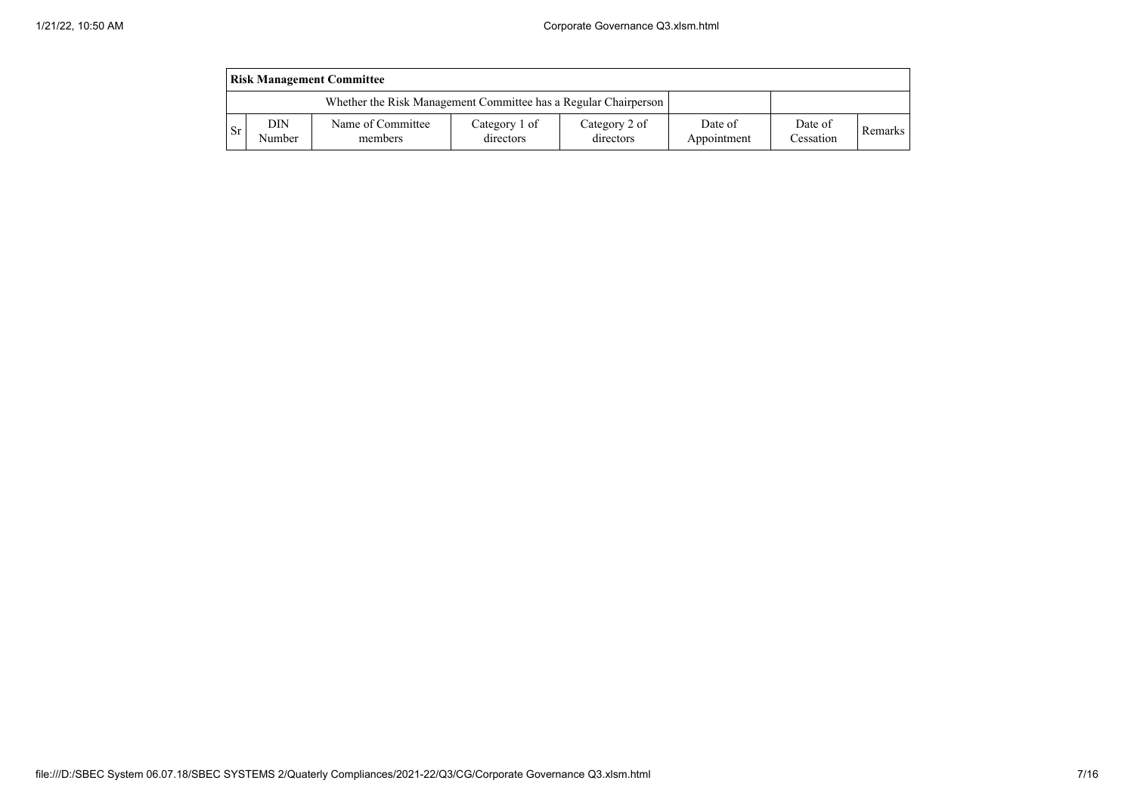| <b>Risk Management Committee</b> |               |                                                                 |                            |                            |                        |                      |         |  |  |
|----------------------------------|---------------|-----------------------------------------------------------------|----------------------------|----------------------------|------------------------|----------------------|---------|--|--|
|                                  |               | Whether the Risk Management Committee has a Regular Chairperson |                            |                            |                        |                      |         |  |  |
| . Sr                             | DIN<br>Number | Name of Committee<br>members                                    | Category 1 of<br>directors | Category 2 of<br>directors | Date of<br>Appointment | Date of<br>Cessation | Remarks |  |  |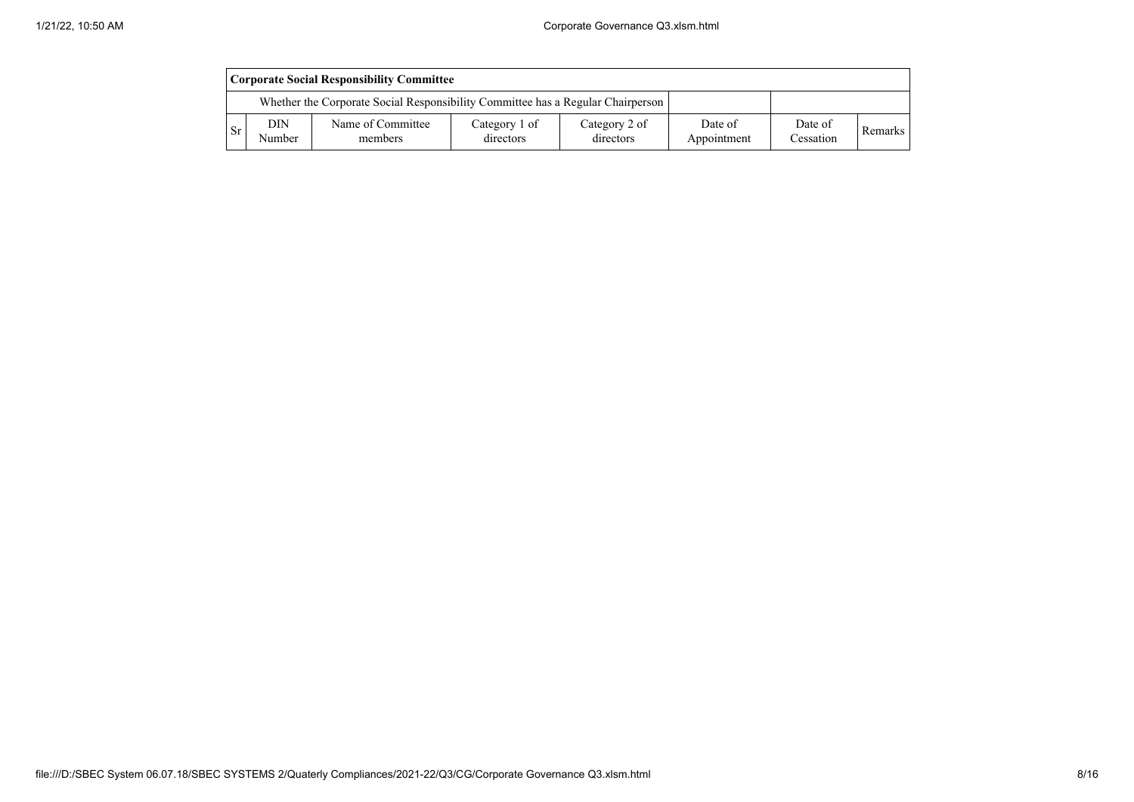|      | Corporate Social Responsibility Committee |                                                                                 |                            |                            |                        |                      |         |  |  |
|------|-------------------------------------------|---------------------------------------------------------------------------------|----------------------------|----------------------------|------------------------|----------------------|---------|--|--|
|      |                                           | Whether the Corporate Social Responsibility Committee has a Regular Chairperson |                            |                            |                        |                      |         |  |  |
| - Sr | DIN<br>Number                             | Name of Committee<br>members                                                    | Category 1 of<br>directors | Category 2 of<br>directors | Date of<br>Appointment | Date of<br>Cessation | Remarks |  |  |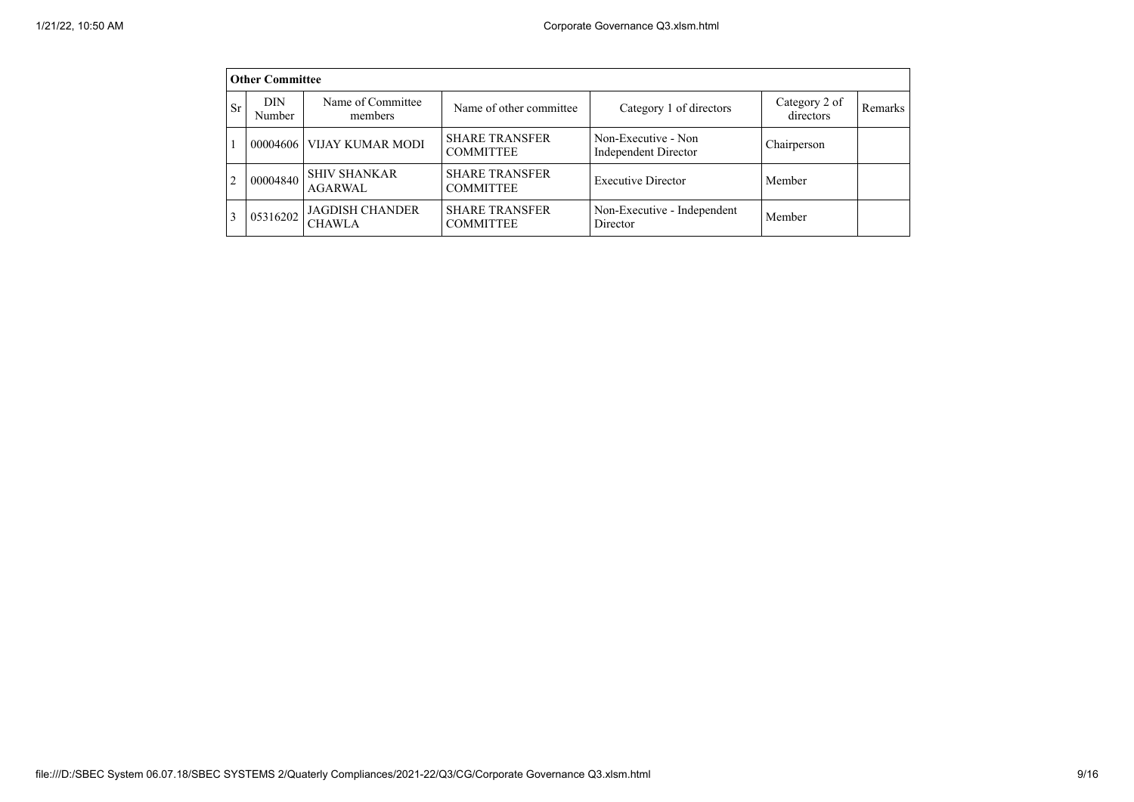|           | <b>Other Committee</b> |                                         |                                           |                                             |                            |         |  |  |  |  |  |
|-----------|------------------------|-----------------------------------------|-------------------------------------------|---------------------------------------------|----------------------------|---------|--|--|--|--|--|
| <b>Sr</b> | DIN.<br>Number         | Name of Committee<br>members            | Name of other committee                   | Category 1 of directors                     | Category 2 of<br>directors | Remarks |  |  |  |  |  |
|           | 00004606               | VIJAY KUMAR MODI                        | <b>SHARE TRANSFER</b><br><b>COMMITTEE</b> | Non-Executive - Non<br>Independent Director | Chairperson                |         |  |  |  |  |  |
|           | 00004840               | <b>SHIV SHANKAR</b><br>AGARWAL          | <b>SHARE TRANSFER</b><br><b>COMMITTEE</b> | <b>Executive Director</b>                   | Member                     |         |  |  |  |  |  |
|           | 05316202               | <b>JAGDISH CHANDER</b><br><b>CHAWLA</b> | <b>SHARE TRANSFER</b><br><b>COMMITTEE</b> | Non-Executive - Independent<br>Director     | Member                     |         |  |  |  |  |  |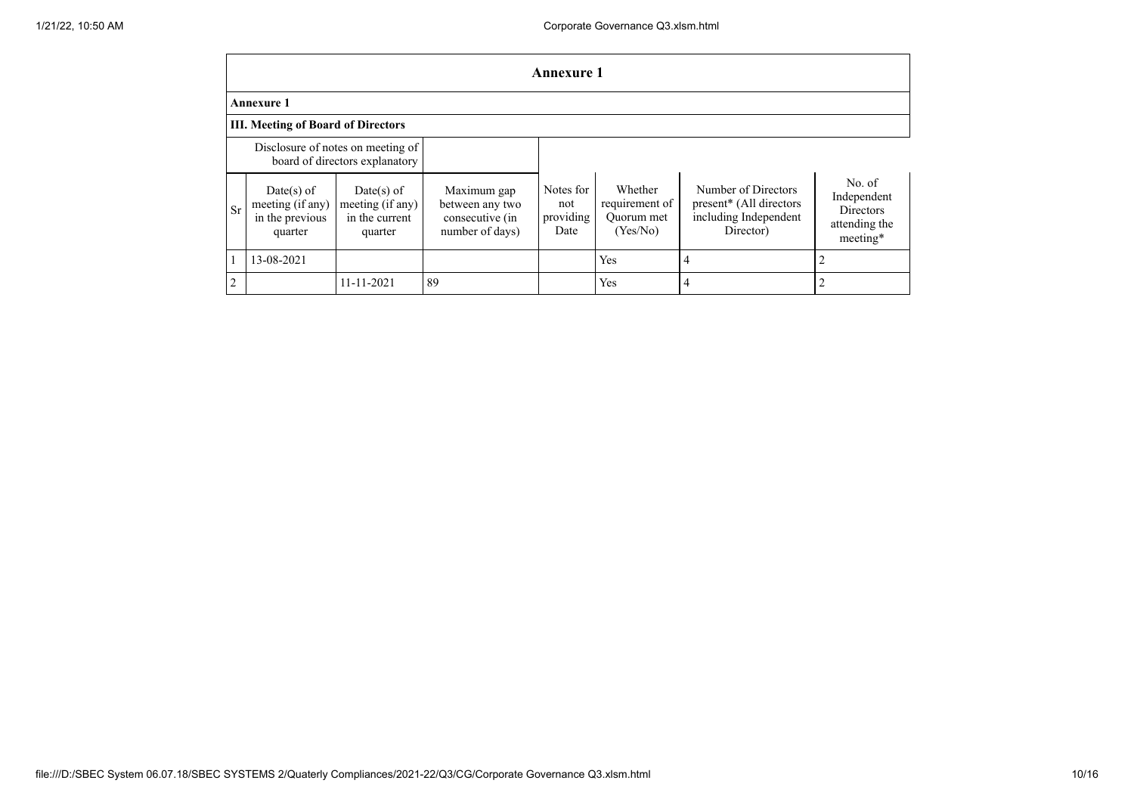|                | Annexure 1                                                          |                                                               |                                                                      |                                       |                                                     |                                                                                                  |                                                                        |  |  |  |
|----------------|---------------------------------------------------------------------|---------------------------------------------------------------|----------------------------------------------------------------------|---------------------------------------|-----------------------------------------------------|--------------------------------------------------------------------------------------------------|------------------------------------------------------------------------|--|--|--|
|                | <b>Annexure 1</b>                                                   |                                                               |                                                                      |                                       |                                                     |                                                                                                  |                                                                        |  |  |  |
|                | <b>III. Meeting of Board of Directors</b>                           |                                                               |                                                                      |                                       |                                                     |                                                                                                  |                                                                        |  |  |  |
|                | Disclosure of notes on meeting of<br>board of directors explanatory |                                                               |                                                                      |                                       |                                                     |                                                                                                  |                                                                        |  |  |  |
| Sr             | $Date(s)$ of<br>meeting (if any)<br>in the previous<br>quarter      | $Date(s)$ of<br>meeting (if any)<br>in the current<br>quarter | Maximum gap<br>between any two<br>consecutive (in<br>number of days) | Notes for<br>not<br>providing<br>Date | Whether<br>requirement of<br>Ouorum met<br>(Yes/No) | Number of Directors<br>present <sup>*</sup> (All directors<br>including Independent<br>Director) | No. of<br>Independent<br><b>Directors</b><br>attending the<br>meeting* |  |  |  |
|                | 13-08-2021                                                          |                                                               |                                                                      |                                       | Yes                                                 | 4                                                                                                | $\overline{2}$                                                         |  |  |  |
| $\mathfrak{2}$ |                                                                     | 11-11-2021                                                    | 89                                                                   |                                       | Yes                                                 |                                                                                                  | $\overline{2}$                                                         |  |  |  |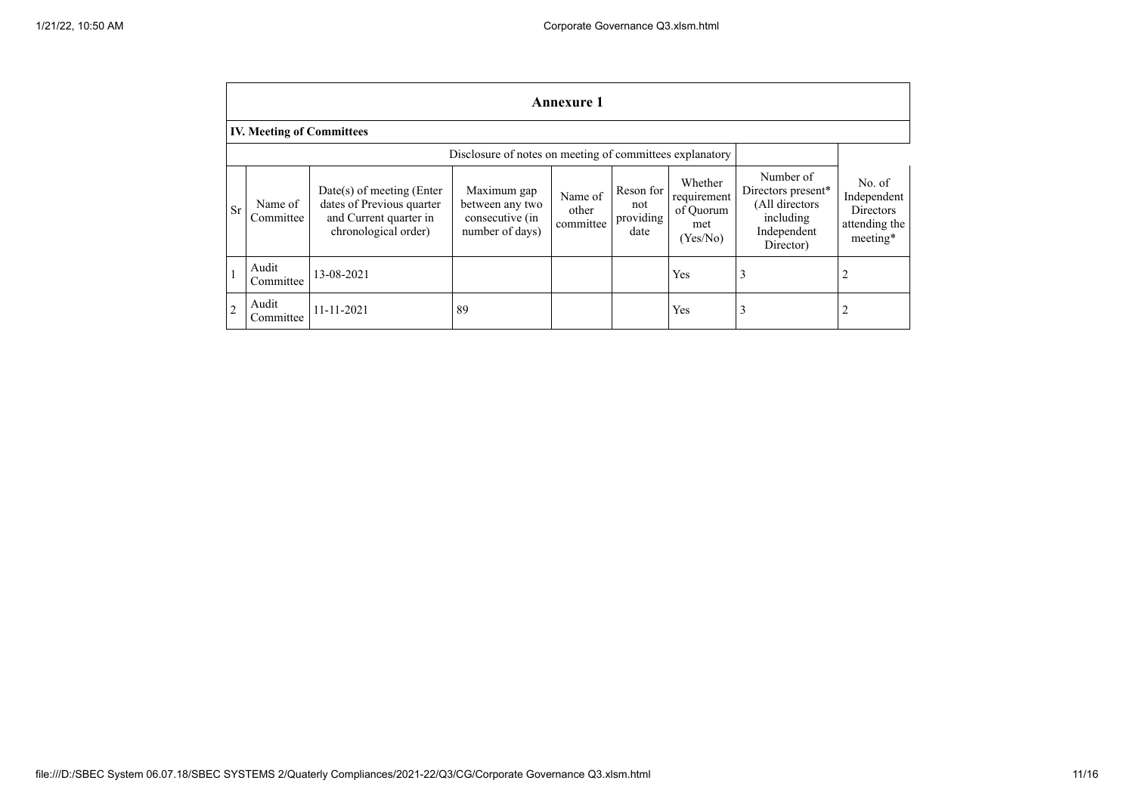|                | Annexure 1                                               |                                                                                                            |                                                                      |                               |                                       |                                                        |                                                                                            |                                                                 |  |
|----------------|----------------------------------------------------------|------------------------------------------------------------------------------------------------------------|----------------------------------------------------------------------|-------------------------------|---------------------------------------|--------------------------------------------------------|--------------------------------------------------------------------------------------------|-----------------------------------------------------------------|--|
|                | <b>IV. Meeting of Committees</b>                         |                                                                                                            |                                                                      |                               |                                       |                                                        |                                                                                            |                                                                 |  |
|                | Disclosure of notes on meeting of committees explanatory |                                                                                                            |                                                                      |                               |                                       |                                                        |                                                                                            |                                                                 |  |
| <b>Sr</b>      | Name of<br>Committee                                     | $Date(s)$ of meeting (Enter<br>dates of Previous quarter<br>and Current quarter in<br>chronological order) | Maximum gap<br>between any two<br>consecutive (in<br>number of days) | Name of<br>other<br>committee | Reson for<br>not<br>providing<br>date | Whether<br>requirement<br>of Quorum<br>met<br>(Yes/No) | Number of<br>Directors present*<br>(All directors<br>including<br>Independent<br>Director) | No. of<br>Independent<br>Directors<br>attending the<br>meeting* |  |
|                | Audit<br>Committee                                       | 13-08-2021                                                                                                 |                                                                      |                               |                                       | Yes                                                    | 3                                                                                          | 2                                                               |  |
| $\overline{c}$ | Audit<br>Committee                                       | 11-11-2021                                                                                                 | 89                                                                   |                               |                                       | Yes                                                    | 3                                                                                          | 2                                                               |  |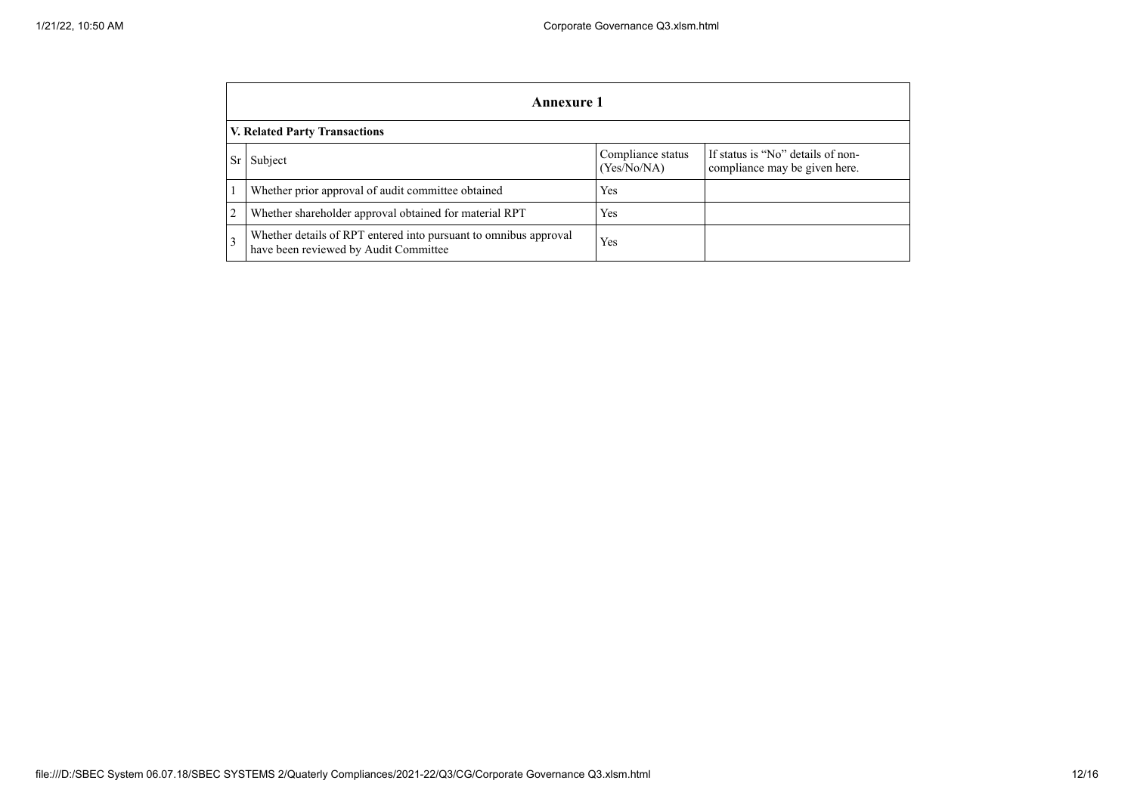|    | Annexure 1                                                                                                        |     |  |  |  |  |  |  |
|----|-------------------------------------------------------------------------------------------------------------------|-----|--|--|--|--|--|--|
|    | <b>V. Related Party Transactions</b>                                                                              |     |  |  |  |  |  |  |
| Sr | If status is "No" details of non-<br>Compliance status<br>Subject<br>(Yes/No/NA)<br>compliance may be given here. |     |  |  |  |  |  |  |
|    | Whether prior approval of audit committee obtained                                                                | Yes |  |  |  |  |  |  |
| 2  | Whether shareholder approval obtained for material RPT                                                            | Yes |  |  |  |  |  |  |
| 3  | Whether details of RPT entered into pursuant to omnibus approval<br>have been reviewed by Audit Committee         | Yes |  |  |  |  |  |  |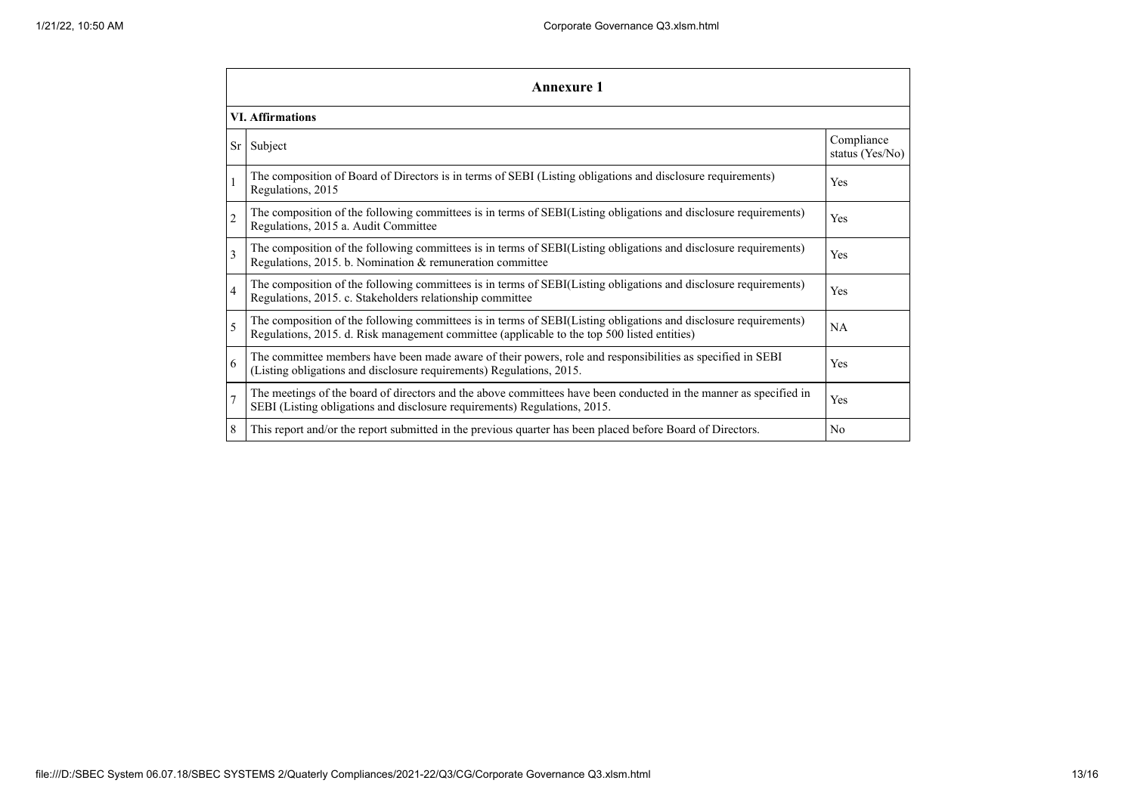| Annexure 1              |                                                                                                                                                                                                                 |                               |  |  |
|-------------------------|-----------------------------------------------------------------------------------------------------------------------------------------------------------------------------------------------------------------|-------------------------------|--|--|
| <b>VI.</b> Affirmations |                                                                                                                                                                                                                 |                               |  |  |
| Sr                      | Subject                                                                                                                                                                                                         | Compliance<br>status (Yes/No) |  |  |
|                         | The composition of Board of Directors is in terms of SEBI (Listing obligations and disclosure requirements)<br>Regulations, 2015                                                                                | Yes                           |  |  |
| $\overline{c}$          | The composition of the following committees is in terms of SEBI(Listing obligations and disclosure requirements)<br>Regulations, 2015 a. Audit Committee                                                        | Yes                           |  |  |
| 3                       | The composition of the following committees is in terms of SEBI(Listing obligations and disclosure requirements)<br>Regulations, 2015. b. Nomination & remuneration committee                                   | Yes                           |  |  |
| $\overline{4}$          | The composition of the following committees is in terms of SEBI(Listing obligations and disclosure requirements)<br>Regulations, 2015. c. Stakeholders relationship committee                                   | Yes                           |  |  |
| 5                       | The composition of the following committees is in terms of SEBI(Listing obligations and disclosure requirements)<br>Regulations, 2015. d. Risk management committee (applicable to the top 500 listed entities) | <b>NA</b>                     |  |  |
| 6                       | The committee members have been made aware of their powers, role and responsibilities as specified in SEBI<br>(Listing obligations and disclosure requirements) Regulations, 2015.                              | Yes                           |  |  |
| $\overline{7}$          | The meetings of the board of directors and the above committees have been conducted in the manner as specified in<br>SEBI (Listing obligations and disclosure requirements) Regulations, 2015.                  | Yes                           |  |  |
| 8                       | This report and/or the report submitted in the previous quarter has been placed before Board of Directors.                                                                                                      | N <sub>0</sub>                |  |  |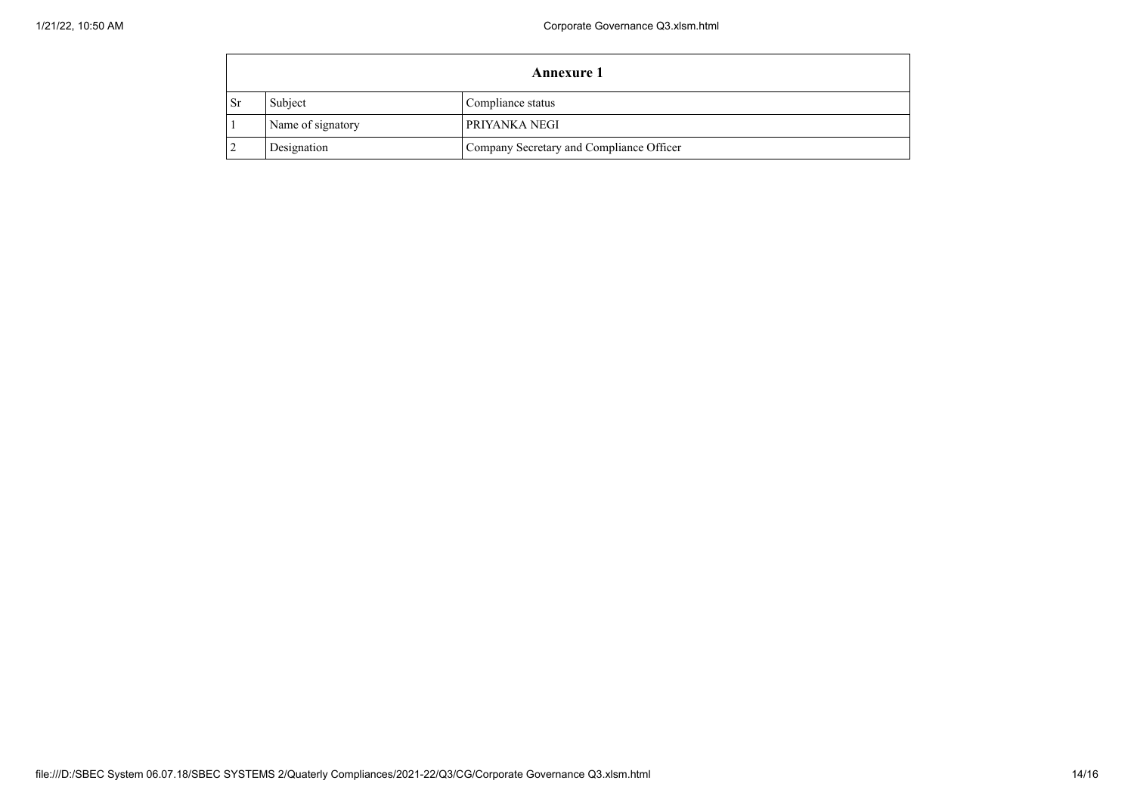| <b>Annexure 1</b> |                   |                                          |  |
|-------------------|-------------------|------------------------------------------|--|
| <b>Sr</b>         | Subject           | Compliance status                        |  |
|                   | Name of signatory | PRIYANKA NEGI                            |  |
|                   | Designation       | Company Secretary and Compliance Officer |  |